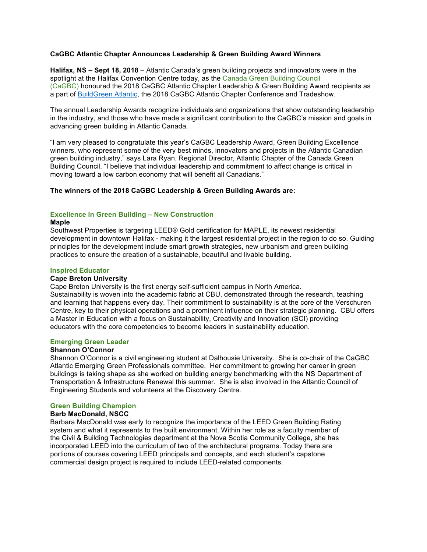## **CaGBC Atlantic Chapter Announces Leadership & Green Building Award Winners**

**Halifax, NS – Sept 18, 2018** – Atlantic Canada's green building projects and innovators were in the spotlight at the Halifax Convention Centre today, as the Canada Green Building Council (CaGBC) honoured the 2018 CaGBC Atlantic Chapter Leadership & Green Building Award recipients as a part of BuildGreen Atlantic, the 2018 CaGBC Atlantic Chapter Conference and Tradeshow.

The annual Leadership Awards recognize individuals and organizations that show outstanding leadership in the industry, and those who have made a significant contribution to the CaGBC's mission and goals in advancing green building in Atlantic Canada.

"I am very pleased to congratulate this year's CaGBC Leadership Award, Green Building Excellence winners, who represent some of the very best minds, innovators and projects in the Atlantic Canadian green building industry," says Lara Ryan, Regional Director, Atlantic Chapter of the Canada Green Building Council. "I believe that individual leadership and commitment to affect change is critical in moving toward a low carbon economy that will benefit all Canadians."

## **The winners of the 2018 CaGBC Leadership & Green Building Awards are:**

## **Excellence in Green Building – New Construction**

### **Maple**

Southwest Properties is targeting LEED® Gold certification for MAPLE, its newest residential development in downtown Halifax - making it the largest residential project in the region to do so. Guiding principles for the development include smart growth strategies, new urbanism and green building practices to ensure the creation of a sustainable, beautiful and livable building.

### **Inspired Educator**

### **Cape Breton University**

Cape Breton University is the first energy self-sufficient campus in North America. Sustainability is woven into the academic fabric at CBU, demonstrated through the research, teaching and learning that happens every day. Their commitment to sustainability is at the core of the Verschuren Centre, key to their physical operations and a prominent influence on their strategic planning. CBU offers a Master in Education with a focus on Sustainability, Creativity and Innovation (SCI) providing educators with the core competencies to become leaders in sustainability education.

### **Emerging Green Leader**

## **Shannon O'Connor**

Shannon O'Connor is a civil engineering student at Dalhousie University. She is co-chair of the CaGBC Atlantic Emerging Green Professionals committee. Her commitment to growing her career in green buildings is taking shape as she worked on building energy benchmarking with the NS Department of Transportation & Infrastructure Renewal this summer. She is also involved in the Atlantic Council of Engineering Students and volunteers at the Discovery Centre.

## **Green Building Champion**

## **Barb MacDonald, NSCC**

Barbara MacDonald was early to recognize the importance of the LEED Green Building Rating system and what it represents to the built environment. Within her role as a faculty member of the Civil & Building Technologies department at the Nova Scotia Community College, she has incorporated LEED into the curriculum of two of the architectural programs. Today there are portions of courses covering LEED principals and concepts, and each student's capstone commercial design project is required to include LEED-related components.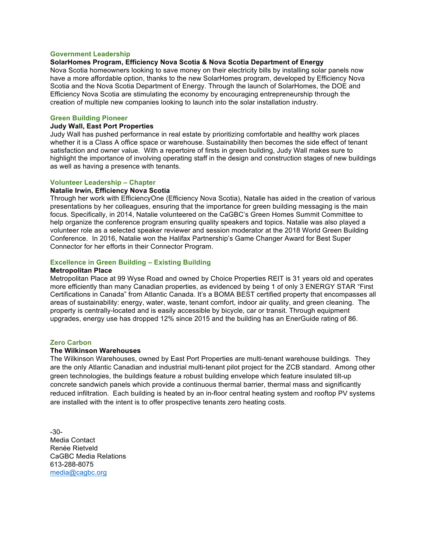#### **Government Leadership**

### **SolarHomes Program, Efficiency Nova Scotia & Nova Scotia Department of Energy**

Nova Scotia homeowners looking to save money on their electricity bills by installing solar panels now have a more affordable option, thanks to the new SolarHomes program, developed by Efficiency Nova Scotia and the Nova Scotia Department of Energy. Through the launch of SolarHomes, the DOE and Efficiency Nova Scotia are stimulating the economy by encouraging entrepreneurship through the creation of multiple new companies looking to launch into the solar installation industry.

#### **Green Building Pioneer**

## **Judy Wall, East Port Properties**

Judy Wall has pushed performance in real estate by prioritizing comfortable and healthy work places whether it is a Class A office space or warehouse. Sustainability then becomes the side effect of tenant satisfaction and owner value. With a repertoire of firsts in green building, Judy Wall makes sure to highlight the importance of involving operating staff in the design and construction stages of new buildings as well as having a presence with tenants.

#### **Volunteer Leadership – Chapter**

#### **Natalie Irwin, Efficiency Nova Scotia**

Through her work with EfficiencyOne (Efficiency Nova Scotia), Natalie has aided in the creation of various presentations by her colleagues, ensuring that the importance for green building messaging is the main focus. Specifically, in 2014, Natalie volunteered on the CaGBC's Green Homes Summit Committee to help organize the conference program ensuring quality speakers and topics. Natalie was also played a volunteer role as a selected speaker reviewer and session moderator at the 2018 World Green Building Conference. In 2016, Natalie won the Halifax Partnership's Game Changer Award for Best Super Connector for her efforts in their Connector Program.

### **Excellence in Green Building – Existing Building**

#### **Metropolitan Place**

Metropolitan Place at 99 Wyse Road and owned by Choice Properties REIT is 31 years old and operates more efficiently than many Canadian properties, as evidenced by being 1 of only 3 ENERGY STAR "First Certifications in Canada" from Atlantic Canada. It's a BOMA BEST certified property that encompasses all areas of sustainability: energy, water, waste, tenant comfort, indoor air quality, and green cleaning. The property is centrally-located and is easily accessible by bicycle, car or transit. Through equipment upgrades, energy use has dropped 12% since 2015 and the building has an EnerGuide rating of 86.

#### **Zero Carbon**

#### **The Wilkinson Warehouses**

The Wilkinson Warehouses, owned by East Port Properties are multi-tenant warehouse buildings. They are the only Atlantic Canadian and industrial multi-tenant pilot project for the ZCB standard. Among other green technologies, the buildings feature a robust building envelope which feature insulated tilt-up concrete sandwich panels which provide a continuous thermal barrier, thermal mass and significantly reduced infiltration. Each building is heated by an in-floor central heating system and rooftop PV systems are installed with the intent is to offer prospective tenants zero heating costs.

-30- Media Contact Renée Rietveld CaGBC Media Relations 613-288-8075 media@cagbc.org